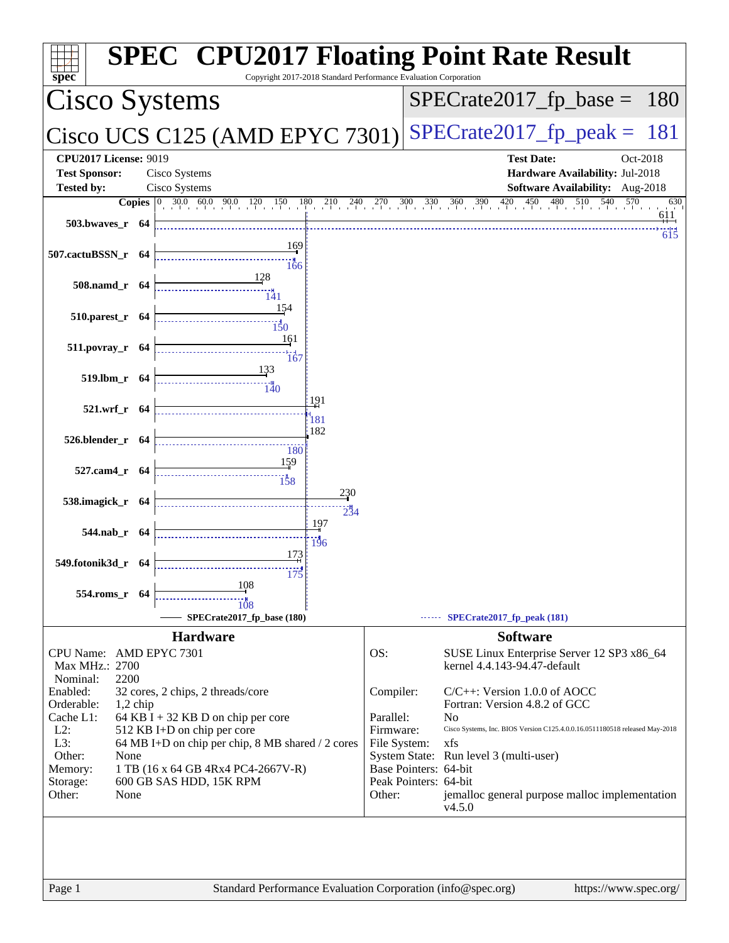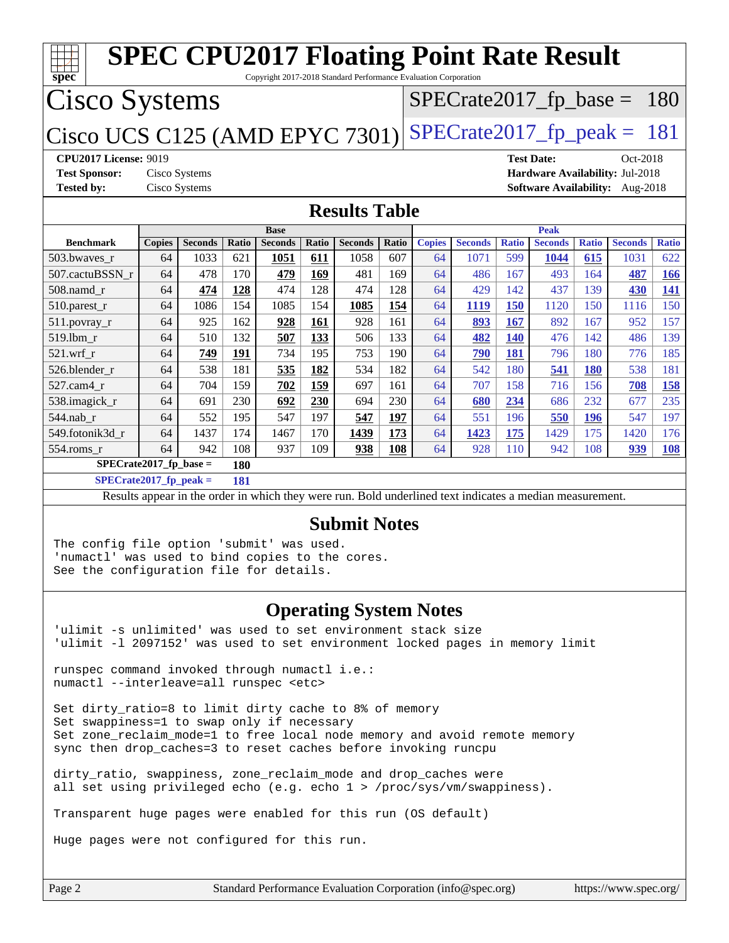| <b>SPEC CPU2017 Floating Point Rate Result</b><br>Copyright 2017-2018 Standard Performance Evaluation Corporation                                                                 |               |                |       |                               |            |                                                                                                          |       |                               |                |              |                                        |              |                |              |
|-----------------------------------------------------------------------------------------------------------------------------------------------------------------------------------|---------------|----------------|-------|-------------------------------|------------|----------------------------------------------------------------------------------------------------------|-------|-------------------------------|----------------|--------------|----------------------------------------|--------------|----------------|--------------|
| spec<br><b>Cisco Systems</b>                                                                                                                                                      |               |                |       |                               |            |                                                                                                          |       |                               |                |              | $SPECrate2017_fp\_base = 180$          |              |                |              |
|                                                                                                                                                                                   |               |                |       |                               |            |                                                                                                          |       |                               |                |              |                                        |              |                |              |
| Cisco UCS C125 (AMD EPYC 7301)                                                                                                                                                    |               |                |       |                               |            |                                                                                                          |       | $SPECTate2017$ _fp_peak = 181 |                |              |                                        |              |                |              |
| <b>CPU2017 License: 9019</b>                                                                                                                                                      |               |                |       |                               |            |                                                                                                          |       |                               |                |              | <b>Test Date:</b>                      |              | Oct-2018       |              |
| <b>Test Sponsor:</b>                                                                                                                                                              |               | Cisco Systems  |       |                               |            |                                                                                                          |       |                               |                |              | Hardware Availability: Jul-2018        |              |                |              |
| <b>Tested by:</b>                                                                                                                                                                 |               | Cisco Systems  |       |                               |            |                                                                                                          |       |                               |                |              | <b>Software Availability:</b> Aug-2018 |              |                |              |
|                                                                                                                                                                                   |               |                |       |                               |            | <b>Results Table</b>                                                                                     |       |                               |                |              |                                        |              |                |              |
| <b>Benchmark</b>                                                                                                                                                                  | <b>Copies</b> | <b>Seconds</b> | Ratio | <b>Base</b><br><b>Seconds</b> | Ratio      | <b>Seconds</b>                                                                                           | Ratio | <b>Copies</b>                 | <b>Seconds</b> | <b>Ratio</b> | <b>Peak</b><br><b>Seconds</b>          | <b>Ratio</b> | <b>Seconds</b> | <b>Ratio</b> |
| 503.bwaves_r                                                                                                                                                                      | 64            | 1033           | 621   | 1051                          | 611        | 1058                                                                                                     | 607   | 64                            | 1071           | 599          | 1044                                   | 615          | 1031           | 622          |
| 507.cactuBSSN_r                                                                                                                                                                   | 64            | 478            | 170   | 479                           | 169        | 481                                                                                                      | 169   | 64                            | 486            | 167          | 493                                    | 164          | 487            | <b>166</b>   |
| $508$ .namd_r                                                                                                                                                                     | 64            | 474            | 128   | 474                           | 128        | 474                                                                                                      | 128   | 64                            | 429            | 142          | 437                                    | 139          | <b>430</b>     | <u>141</u>   |
| 510.parest_r                                                                                                                                                                      | 64            | 1086           | 154   | 1085                          | 154        | 1085                                                                                                     | 154   | 64                            | 1119           | 150          | 1120                                   | 150          | 1116           | 150          |
| $511.povray_r$                                                                                                                                                                    | 64            | 925            | 162   | 928                           | <b>161</b> | 928                                                                                                      | 161   | 64                            | 893            | <b>167</b>   | 892                                    | 167          | 952            | 157          |
| 519.1bm_r                                                                                                                                                                         | 64            | 510            | 132   | 507                           | 133        | 506                                                                                                      | 133   | 64                            | 482            | <b>140</b>   | 476                                    | 142          | 486            | 139          |
| 521.wrf r                                                                                                                                                                         | 64            | 749            | 191   | 734                           | 195        | 753                                                                                                      | 190   | 64                            | 790            | <u>181</u>   | 796                                    | 180          | 776            | 185          |
| 526.blender_r                                                                                                                                                                     | 64            | 538            | 181   | 535                           | 182        | 534                                                                                                      | 182   | 64                            | 542            | 180          | 541                                    | <b>180</b>   | 538            | 181          |
| 527.cam4_r                                                                                                                                                                        | 64            | 704            | 159   | 702                           | 159        | 697                                                                                                      | 161   | 64                            | 707            | 158          | 716                                    | 156          | 708            | 158          |
| 538.imagick_r                                                                                                                                                                     | 64            | 691            | 230   | 692                           | 230        | 694                                                                                                      | 230   | 64                            | 680            | 234          | 686                                    | 232          | 677            | 235          |
| 544.nab_r                                                                                                                                                                         | 64            | 552            | 195   | 547                           | 197        | 547                                                                                                      | 197   | 64                            | 551            | 196          | 550                                    | <u>196</u>   | 547            | 197          |
| 549.fotonik3d_r                                                                                                                                                                   | 64            | 1437           | 174   | 1467                          | 170        | 1439                                                                                                     | 173   | 64                            | 1423           | <b>175</b>   | 1429                                   | 175          | 1420           | 176          |
| 554.roms_r                                                                                                                                                                        | 64            | 942            | 108   | 937                           | 109        | 938                                                                                                      | 108   | 64                            | 928            | 110          | 942                                    | 108          | 939            | 108          |
| $SPECrate2017_fp\_base =$                                                                                                                                                         |               |                | 180   |                               |            |                                                                                                          |       |                               |                |              |                                        |              |                |              |
| $SPECrate2017_fp_peak =$                                                                                                                                                          |               |                | 181   |                               |            |                                                                                                          |       |                               |                |              |                                        |              |                |              |
|                                                                                                                                                                                   |               |                |       |                               |            | Results appear in the order in which they were run. Bold underlined text indicates a median measurement. |       |                               |                |              |                                        |              |                |              |
|                                                                                                                                                                                   |               |                |       |                               |            |                                                                                                          |       |                               |                |              |                                        |              |                |              |
|                                                                                                                                                                                   |               |                |       |                               |            | <b>Submit Notes</b>                                                                                      |       |                               |                |              |                                        |              |                |              |
| The config file option 'submit' was used.                                                                                                                                         |               |                |       |                               |            |                                                                                                          |       |                               |                |              |                                        |              |                |              |
| 'numactl' was used to bind copies to the cores.                                                                                                                                   |               |                |       |                               |            |                                                                                                          |       |                               |                |              |                                        |              |                |              |
| See the configuration file for details.                                                                                                                                           |               |                |       |                               |            |                                                                                                          |       |                               |                |              |                                        |              |                |              |
|                                                                                                                                                                                   |               |                |       |                               |            |                                                                                                          |       |                               |                |              |                                        |              |                |              |
|                                                                                                                                                                                   |               |                |       |                               |            | <b>Operating System Notes</b>                                                                            |       |                               |                |              |                                        |              |                |              |
| 'ulimit -s unlimited' was used to set environment stack size                                                                                                                      |               |                |       |                               |            |                                                                                                          |       |                               |                |              |                                        |              |                |              |
| 'ulimit -1 2097152' was used to set environment locked pages in memory limit                                                                                                      |               |                |       |                               |            |                                                                                                          |       |                               |                |              |                                        |              |                |              |
| runspec command invoked through numactl i.e.:<br>numactl --interleave=all runspec <etc></etc>                                                                                     |               |                |       |                               |            |                                                                                                          |       |                               |                |              |                                        |              |                |              |
|                                                                                                                                                                                   |               |                |       |                               |            |                                                                                                          |       |                               |                |              |                                        |              |                |              |
| Set dirty_ratio=8 to limit dirty cache to 8% of memory<br>Set swappiness=1 to swap only if necessary<br>Set zone_reclaim_mode=1 to free local node memory and avoid remote memory |               |                |       |                               |            |                                                                                                          |       |                               |                |              |                                        |              |                |              |
| sync then drop_caches=3 to reset caches before invoking runcpu<br>dirty_ratio, swappiness, zone_reclaim_mode and drop_caches were                                                 |               |                |       |                               |            |                                                                                                          |       |                               |                |              |                                        |              |                |              |
| all set using privileged echo (e.g. echo $1$ > /proc/sys/vm/swappiness).                                                                                                          |               |                |       |                               |            |                                                                                                          |       |                               |                |              |                                        |              |                |              |
| Transparent huge pages were enabled for this run (OS default)                                                                                                                     |               |                |       |                               |            |                                                                                                          |       |                               |                |              |                                        |              |                |              |
| Huge pages were not configured for this run.                                                                                                                                      |               |                |       |                               |            |                                                                                                          |       |                               |                |              |                                        |              |                |              |

Page 2 Standard Performance Evaluation Corporation [\(info@spec.org\)](mailto:info@spec.org) <https://www.spec.org/>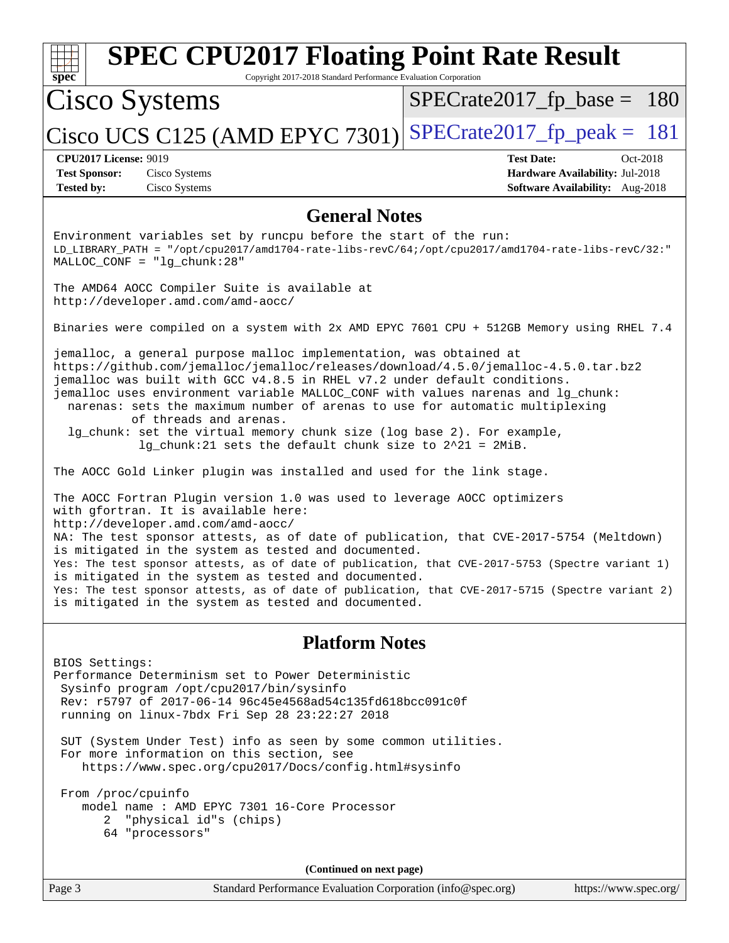| <b>SPEC CPU2017 Floating Point Rate Result</b><br>Copyright 2017-2018 Standard Performance Evaluation Corporation<br>spec                                                                                                                                                                                                                                                                                                                                                                                                                                                                                                                                                                                                                                                                                                                                                                                                                                                                                                                                                                                                                                                                                                                                                                                 |                                                                                                            |  |  |  |  |
|-----------------------------------------------------------------------------------------------------------------------------------------------------------------------------------------------------------------------------------------------------------------------------------------------------------------------------------------------------------------------------------------------------------------------------------------------------------------------------------------------------------------------------------------------------------------------------------------------------------------------------------------------------------------------------------------------------------------------------------------------------------------------------------------------------------------------------------------------------------------------------------------------------------------------------------------------------------------------------------------------------------------------------------------------------------------------------------------------------------------------------------------------------------------------------------------------------------------------------------------------------------------------------------------------------------|------------------------------------------------------------------------------------------------------------|--|--|--|--|
| <b>Cisco Systems</b>                                                                                                                                                                                                                                                                                                                                                                                                                                                                                                                                                                                                                                                                                                                                                                                                                                                                                                                                                                                                                                                                                                                                                                                                                                                                                      | $SPECrate2017_fp\_base = 180$                                                                              |  |  |  |  |
| Cisco UCS C125 (AMD EPYC 7301)                                                                                                                                                                                                                                                                                                                                                                                                                                                                                                                                                                                                                                                                                                                                                                                                                                                                                                                                                                                                                                                                                                                                                                                                                                                                            | $SPECrate2017_fp\_peak = 181$                                                                              |  |  |  |  |
| <b>CPU2017 License: 9019</b><br><b>Test Sponsor:</b><br>Cisco Systems<br><b>Tested by:</b><br>Cisco Systems                                                                                                                                                                                                                                                                                                                                                                                                                                                                                                                                                                                                                                                                                                                                                                                                                                                                                                                                                                                                                                                                                                                                                                                               | <b>Test Date:</b><br>Oct-2018<br>Hardware Availability: Jul-2018<br><b>Software Availability:</b> Aug-2018 |  |  |  |  |
| <b>General Notes</b>                                                                                                                                                                                                                                                                                                                                                                                                                                                                                                                                                                                                                                                                                                                                                                                                                                                                                                                                                                                                                                                                                                                                                                                                                                                                                      |                                                                                                            |  |  |  |  |
| Environment variables set by runcpu before the start of the run:<br>LD_LIBRARY_PATH = "/opt/cpu2017/amd1704-rate-libs-revC/64;/opt/cpu2017/amd1704-rate-libs-revC/32:"<br>$MALLOC\_CONF = "lg_chunk:28"$                                                                                                                                                                                                                                                                                                                                                                                                                                                                                                                                                                                                                                                                                                                                                                                                                                                                                                                                                                                                                                                                                                  |                                                                                                            |  |  |  |  |
| The AMD64 AOCC Compiler Suite is available at<br>http://developer.amd.com/amd-aocc/                                                                                                                                                                                                                                                                                                                                                                                                                                                                                                                                                                                                                                                                                                                                                                                                                                                                                                                                                                                                                                                                                                                                                                                                                       |                                                                                                            |  |  |  |  |
| Binaries were compiled on a system with 2x AMD EPYC 7601 CPU + 512GB Memory using RHEL 7.4                                                                                                                                                                                                                                                                                                                                                                                                                                                                                                                                                                                                                                                                                                                                                                                                                                                                                                                                                                                                                                                                                                                                                                                                                |                                                                                                            |  |  |  |  |
| jemalloc, a general purpose malloc implementation, was obtained at<br>https://github.com/jemalloc/jemalloc/releases/download/4.5.0/jemalloc-4.5.0.tar.bz2<br>jemalloc was built with GCC v4.8.5 in RHEL v7.2 under default conditions.<br>jemalloc uses environment variable MALLOC_CONF with values narenas and lg_chunk:<br>narenas: sets the maximum number of arenas to use for automatic multiplexing<br>of threads and arenas.<br>lg_chunk: set the virtual memory chunk size (log base 2). For example,<br>$lg_{\text{c}}$ chunk: 21 sets the default chunk size to $2^2$ 21 = 2MiB.<br>The AOCC Gold Linker plugin was installed and used for the link stage.<br>The AOCC Fortran Plugin version 1.0 was used to leverage AOCC optimizers<br>with gfortran. It is available here:<br>http://developer.amd.com/amd-aocc/<br>NA: The test sponsor attests, as of date of publication, that CVE-2017-5754 (Meltdown)<br>is mitigated in the system as tested and documented.<br>Yes: The test sponsor attests, as of date of publication, that CVE-2017-5753 (Spectre variant 1)<br>is mitigated in the system as tested and documented.<br>Yes: The test sponsor attests, as of date of publication, that CVE-2017-5715 (Spectre variant 2)<br>is mitigated in the system as tested and documented. |                                                                                                            |  |  |  |  |
| <b>Platform Notes</b>                                                                                                                                                                                                                                                                                                                                                                                                                                                                                                                                                                                                                                                                                                                                                                                                                                                                                                                                                                                                                                                                                                                                                                                                                                                                                     |                                                                                                            |  |  |  |  |
| BIOS Settings:<br>Performance Determinism set to Power Deterministic<br>Sysinfo program /opt/cpu2017/bin/sysinfo<br>Rev: r5797 of 2017-06-14 96c45e4568ad54c135fd618bcc091c0f<br>running on linux-7bdx Fri Sep 28 23:22:27 2018<br>SUT (System Under Test) info as seen by some common utilities.<br>For more information on this section, see<br>https://www.spec.org/cpu2017/Docs/config.html#sysinfo<br>From /proc/cpuinfo<br>model name: AMD EPYC 7301 16-Core Processor                                                                                                                                                                                                                                                                                                                                                                                                                                                                                                                                                                                                                                                                                                                                                                                                                              |                                                                                                            |  |  |  |  |
| "physical id"s (chips)<br>2.<br>64 "processors"                                                                                                                                                                                                                                                                                                                                                                                                                                                                                                                                                                                                                                                                                                                                                                                                                                                                                                                                                                                                                                                                                                                                                                                                                                                           |                                                                                                            |  |  |  |  |
| (Continued on next page)                                                                                                                                                                                                                                                                                                                                                                                                                                                                                                                                                                                                                                                                                                                                                                                                                                                                                                                                                                                                                                                                                                                                                                                                                                                                                  |                                                                                                            |  |  |  |  |
| Page 3<br>Standard Performance Evaluation Corporation (info@spec.org)                                                                                                                                                                                                                                                                                                                                                                                                                                                                                                                                                                                                                                                                                                                                                                                                                                                                                                                                                                                                                                                                                                                                                                                                                                     | https://www.spec.org/                                                                                      |  |  |  |  |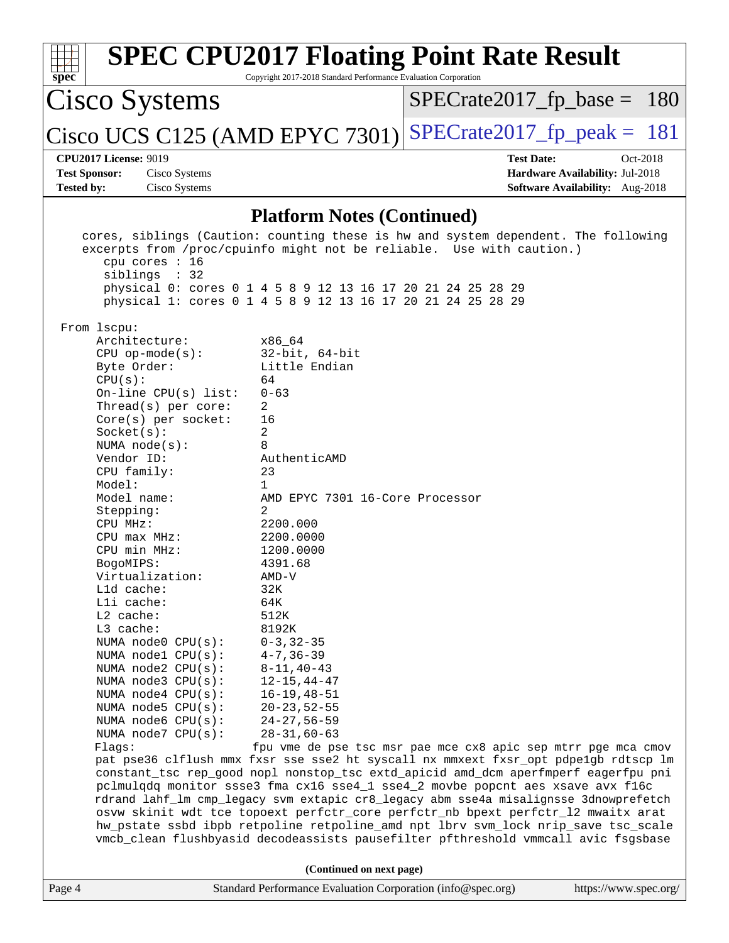| $spec^*$                                                                                                                                                                                                                                                                                                                                                                                                                                                                                                                                                                                                                                                                                                                                                                                                                                                                                                                                                                                                                   | Copyright 2017-2018 Standard Performance Evaluation Corporation                                                                                                                                                                                                                                                                                                                                                                                                    | <b>SPEC CPU2017 Floating Point Rate Result</b>                |                                                                                       |  |  |
|----------------------------------------------------------------------------------------------------------------------------------------------------------------------------------------------------------------------------------------------------------------------------------------------------------------------------------------------------------------------------------------------------------------------------------------------------------------------------------------------------------------------------------------------------------------------------------------------------------------------------------------------------------------------------------------------------------------------------------------------------------------------------------------------------------------------------------------------------------------------------------------------------------------------------------------------------------------------------------------------------------------------------|--------------------------------------------------------------------------------------------------------------------------------------------------------------------------------------------------------------------------------------------------------------------------------------------------------------------------------------------------------------------------------------------------------------------------------------------------------------------|---------------------------------------------------------------|---------------------------------------------------------------------------------------|--|--|
| Cisco Systems                                                                                                                                                                                                                                                                                                                                                                                                                                                                                                                                                                                                                                                                                                                                                                                                                                                                                                                                                                                                              |                                                                                                                                                                                                                                                                                                                                                                                                                                                                    | $SPECrate2017_fp\_base = 180$                                 |                                                                                       |  |  |
| Cisco UCS C125 (AMD EPYC 7301)                                                                                                                                                                                                                                                                                                                                                                                                                                                                                                                                                                                                                                                                                                                                                                                                                                                                                                                                                                                             |                                                                                                                                                                                                                                                                                                                                                                                                                                                                    | $SPECrate2017fp peak = 181$                                   |                                                                                       |  |  |
| <b>CPU2017 License: 9019</b><br><b>Test Sponsor:</b><br>Cisco Systems<br><b>Tested by:</b><br>Cisco Systems                                                                                                                                                                                                                                                                                                                                                                                                                                                                                                                                                                                                                                                                                                                                                                                                                                                                                                                |                                                                                                                                                                                                                                                                                                                                                                                                                                                                    | <b>Test Date:</b>                                             | Oct-2018<br>Hardware Availability: Jul-2018<br><b>Software Availability:</b> Aug-2018 |  |  |
|                                                                                                                                                                                                                                                                                                                                                                                                                                                                                                                                                                                                                                                                                                                                                                                                                                                                                                                                                                                                                            |                                                                                                                                                                                                                                                                                                                                                                                                                                                                    |                                                               |                                                                                       |  |  |
| cores, siblings (Caution: counting these is hw and system dependent. The following<br>excerpts from /proc/cpuinfo might not be reliable. Use with caution.)<br>cpu cores : 16<br>siblings : 32<br>physical 0: cores 0 1 4 5 8 9 12 13 16 17 20 21 24 25 28 29<br>physical 1: cores 0 1 4 5 8 9 12 13 16 17 20 21 24 25 28 29<br>From 1scpu:<br>Architecture:<br>$CPU$ op-mode( $s$ ):<br>Byte Order:<br>CPU(s):<br>On-line $CPU(s)$ list:<br>Thread(s) per core:<br>Core(s) per socket:<br>Socket(s):<br>NUMA $node(s)$ :<br>Vendor ID:<br>CPU family:<br>Model:<br>Model name:<br>Stepping:<br>CPU MHz:<br>$CPU$ max $MHz:$<br>CPU min MHz:<br>BogoMIPS:<br>Virtualization:<br>$L1d$ cache:<br>Lli cache:<br>L2 cache:<br>L3 cache:<br>NUMA node0 CPU(s):<br>NUMA nodel CPU(s):<br>NUMA node2 CPU(s):<br>NUMA $node3$ $CPU(s)$ :<br>NUMA node4 CPU(s):<br>NUMA node5 CPU(s):<br>NUMA node6 CPU(s):<br>NUMA node7 CPU(s):<br>Flagg:<br>pat pse36 clflush mmx fxsr sse sse2 ht syscall nx mmxext fxsr_opt pdpe1gb rdtscp lm | <b>Platform Notes (Continued)</b><br>x86 64<br>$32$ -bit, $64$ -bit<br>Little Endian<br>64<br>$0 - 63$<br>2<br>16<br>2<br>8<br>AuthenticAMD<br>23<br>1<br>AMD EPYC 7301 16-Core Processor<br>2<br>2200.000<br>2200.0000<br>1200.0000<br>4391.68<br>AMD-V<br>32K<br>64K<br>512K<br>8192K<br>$0 - 3, 32 - 35$<br>$4 - 7, 36 - 39$<br>$8 - 11, 40 - 43$<br>$12 - 15, 44 - 47$<br>$16 - 19, 48 - 51$<br>$20 - 23, 52 - 55$<br>$24 - 27, 56 - 59$<br>$28 - 31, 60 - 63$ | fpu vme de pse tsc msr pae mce cx8 apic sep mtrr pge mca cmov |                                                                                       |  |  |
| constant_tsc rep_good nopl nonstop_tsc extd_apicid amd_dcm aperfmperf eagerfpu pni<br>pclmulqdq monitor ssse3 fma cx16 sse4_1 sse4_2 movbe popcnt aes xsave avx f16c<br>rdrand lahf_lm cmp_legacy svm extapic cr8_legacy abm sse4a misalignsse 3dnowprefetch<br>osvw skinit wdt tce topoext perfctr_core perfctr_nb bpext perfctr_12 mwaitx arat<br>hw_pstate ssbd ibpb retpoline retpoline_amd npt lbrv svm_lock nrip_save tsc_scale                                                                                                                                                                                                                                                                                                                                                                                                                                                                                                                                                                                      |                                                                                                                                                                                                                                                                                                                                                                                                                                                                    |                                                               |                                                                                       |  |  |
| vmcb_clean flushbyasid decodeassists pausefilter pfthreshold vmmcall avic fsgsbase<br>(Continued on next page)                                                                                                                                                                                                                                                                                                                                                                                                                                                                                                                                                                                                                                                                                                                                                                                                                                                                                                             |                                                                                                                                                                                                                                                                                                                                                                                                                                                                    |                                                               |                                                                                       |  |  |
| Page 4                                                                                                                                                                                                                                                                                                                                                                                                                                                                                                                                                                                                                                                                                                                                                                                                                                                                                                                                                                                                                     | Standard Performance Evaluation Corporation (info@spec.org)                                                                                                                                                                                                                                                                                                                                                                                                        |                                                               | https://www.spec.org/                                                                 |  |  |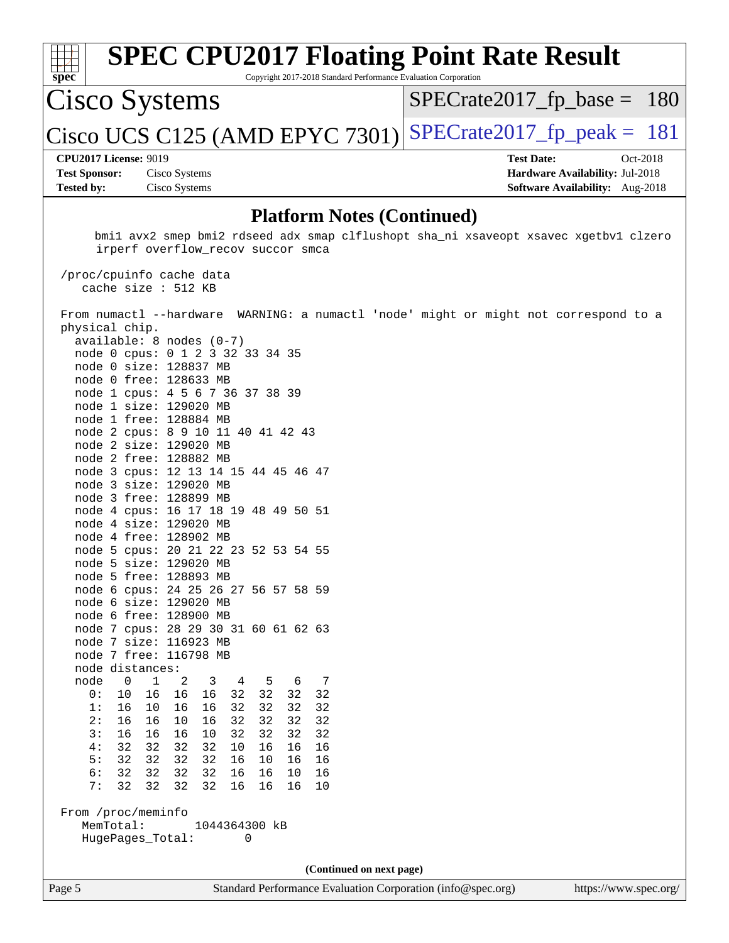|                                                                                                                                                                | <b>SPEC CPU2017 Floating Point Rate Result</b>                  |  |                   |                                        |  |
|----------------------------------------------------------------------------------------------------------------------------------------------------------------|-----------------------------------------------------------------|--|-------------------|----------------------------------------|--|
| $spec^*$                                                                                                                                                       | Copyright 2017-2018 Standard Performance Evaluation Corporation |  |                   |                                        |  |
| Cisco Systems                                                                                                                                                  |                                                                 |  |                   | $SPECrate2017_fp\_base = 180$          |  |
|                                                                                                                                                                | $ {\rm Cisco \ UCS \ C125 \ (AMD \ EPYC \ 7301)} $              |  |                   | $SPECrate2017_fp\_peak = 181$          |  |
| <b>CPU2017 License: 9019</b>                                                                                                                                   |                                                                 |  | <b>Test Date:</b> | Oct-2018                               |  |
| <b>Test Sponsor:</b>                                                                                                                                           | Cisco Systems                                                   |  |                   | Hardware Availability: Jul-2018        |  |
| <b>Tested by:</b>                                                                                                                                              | Cisco Systems                                                   |  |                   | <b>Software Availability:</b> Aug-2018 |  |
| <b>Platform Notes (Continued)</b><br>bmil avx2 smep bmi2 rdseed adx smap clflushopt sha ni xsaveopt xsavec xgetbvl clzero<br>irperf overflow_recov succor smca |                                                                 |  |                   |                                        |  |

 cache size : 512 KB From numactl --hardware WARNING: a numactl 'node' might or might not correspond to a physical chip. available: 8 nodes (0-7) node 0 cpus: 0 1 2 3 32 33 34 35 node 0 size: 128837 MB node 0 free: 128633 MB node 1 cpus: 4 5 6 7 36 37 38 39 node 1 size: 129020 MB node 1 free: 128884 MB node 2 cpus: 8 9 10 11 40 41 42 43 node 2 size: 129020 MB node 2 free: 128882 MB node 3 cpus: 12 13 14 15 44 45 46 47 node 3 size: 129020 MB node 3 free: 128899 MB node 4 cpus: 16 17 18 19 48 49 50 51 node 4 size: 129020 MB node 4 free: 128902 MB node 5 cpus: 20 21 22 23 52 53 54 55 node 5 size: 129020 MB node 5 free: 128893 MB node 6 cpus: 24 25 26 27 56 57 58 59 node 6 size: 129020 MB node 6 free: 128900 MB node 7 cpus: 28 29 30 31 60 61 62 63 node 7 size: 116923 MB node 7 free: 116798 MB node distances: node 0 1 2 3 4 5 6 7 0: 10 16 16 16 32 32 32 32 1: 16 10 16 16 32 32 32 32 2: 16 16 10 16 32 32 32 32 3: 16 16 16 10 32 32 32 32 4: 32 32 32 32 10 16 16 16

 From /proc/meminfo MemTotal: 1044364300 kB HugePages\_Total: 0

 5: 32 32 32 32 16 10 16 16 6: 32 32 32 32 16 16 10 16 7: 32 32 32 32 16 16 16 10

/proc/cpuinfo cache data

**(Continued on next page)**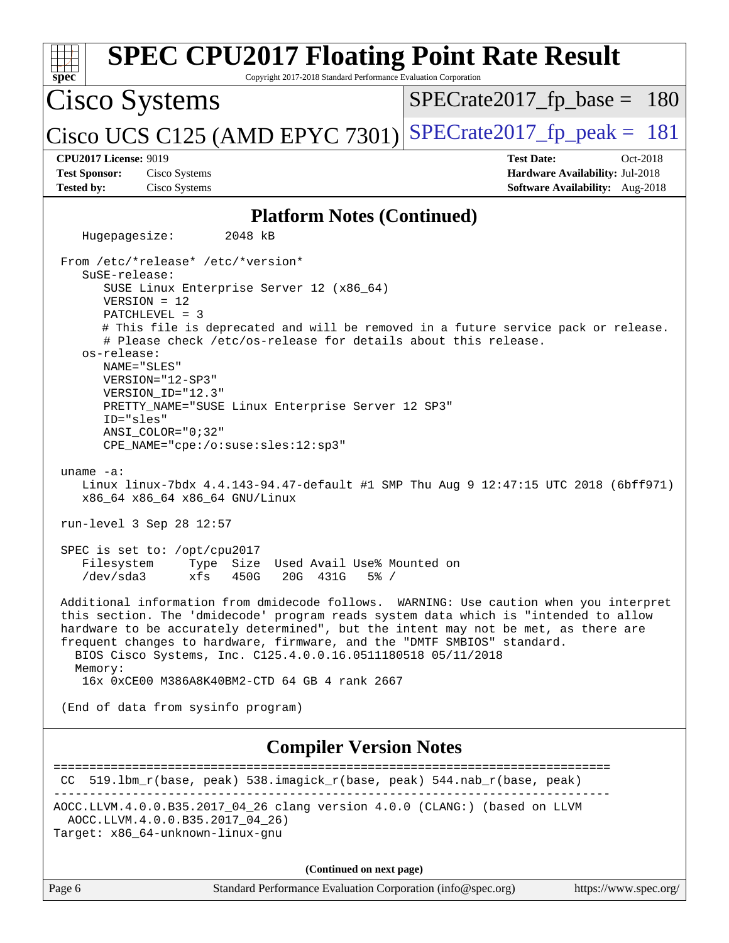| <b>SPEC CPU2017 Floating Point Rate Result</b><br>Copyright 2017-2018 Standard Performance Evaluation Corporation<br>$spec*$                                                                                                                                                                                                                                                                                                                                                                                                                                                                           |                                                                  |  |  |  |
|--------------------------------------------------------------------------------------------------------------------------------------------------------------------------------------------------------------------------------------------------------------------------------------------------------------------------------------------------------------------------------------------------------------------------------------------------------------------------------------------------------------------------------------------------------------------------------------------------------|------------------------------------------------------------------|--|--|--|
| Cisco Systems                                                                                                                                                                                                                                                                                                                                                                                                                                                                                                                                                                                          | $SPECrate2017_fp\_base = 180$                                    |  |  |  |
| Cisco UCS C125 (AMD EPYC 7301)                                                                                                                                                                                                                                                                                                                                                                                                                                                                                                                                                                         | $SPECrate2017_fp\_peak = 181$                                    |  |  |  |
| <b>CPU2017 License: 9019</b><br><b>Test Sponsor:</b><br>Cisco Systems                                                                                                                                                                                                                                                                                                                                                                                                                                                                                                                                  | <b>Test Date:</b><br>Oct-2018<br>Hardware Availability: Jul-2018 |  |  |  |
| <b>Tested by:</b><br>Cisco Systems                                                                                                                                                                                                                                                                                                                                                                                                                                                                                                                                                                     | <b>Software Availability:</b> Aug-2018                           |  |  |  |
| <b>Platform Notes (Continued)</b>                                                                                                                                                                                                                                                                                                                                                                                                                                                                                                                                                                      |                                                                  |  |  |  |
| Hugepagesize:<br>2048 kB                                                                                                                                                                                                                                                                                                                                                                                                                                                                                                                                                                               |                                                                  |  |  |  |
| From /etc/*release* /etc/*version*<br>SuSE-release:<br>SUSE Linux Enterprise Server 12 (x86_64)<br>$VERSION = 12$<br>PATCHLEVEL = 3<br># This file is deprecated and will be removed in a future service pack or release.<br># Please check /etc/os-release for details about this release.<br>os-release:<br>NAME="SLES"<br>VERSION="12-SP3"<br>VERSION ID="12.3"<br>PRETTY_NAME="SUSE Linux Enterprise Server 12 SP3"<br>ID="sles"<br>ANSI_COLOR="0;32"<br>CPE_NAME="cpe:/o:suse:sles:12:sp3"<br>uname $-a$ :<br>Linux linux-7bdx 4.4.143-94.47-default #1 SMP Thu Aug 9 12:47:15 UTC 2018 (6bff971) |                                                                  |  |  |  |
| x86_64 x86_64 x86_64 GNU/Linux<br>run-level 3 Sep 28 12:57                                                                                                                                                                                                                                                                                                                                                                                                                                                                                                                                             |                                                                  |  |  |  |
| SPEC is set to: /opt/cpu2017<br>Filesystem<br>Type Size Used Avail Use% Mounted on<br>xfs 450G 20G 431G 5% /<br>/dev/sda3                                                                                                                                                                                                                                                                                                                                                                                                                                                                              |                                                                  |  |  |  |
| Additional information from dmidecode follows. WARNING: Use caution when you interpret<br>this section. The 'dmidecode' program reads system data which is "intended to allow<br>hardware to be accurately determined", but the intent may not be met, as there are<br>frequent changes to hardware, firmware, and the "DMTF SMBIOS" standard.<br>BIOS Cisco Systems, Inc. C125.4.0.0.16.0511180518 05/11/2018<br>Memory:                                                                                                                                                                              |                                                                  |  |  |  |
| 16x 0xCE00 M386A8K40BM2-CTD 64 GB 4 rank 2667                                                                                                                                                                                                                                                                                                                                                                                                                                                                                                                                                          |                                                                  |  |  |  |
| (End of data from sysinfo program)                                                                                                                                                                                                                                                                                                                                                                                                                                                                                                                                                                     |                                                                  |  |  |  |
| <b>Compiler Version Notes</b>                                                                                                                                                                                                                                                                                                                                                                                                                                                                                                                                                                          |                                                                  |  |  |  |
| 519.1bm_r(base, peak) 538.imagick_r(base, peak) 544.nab_r(base, peak)<br>CC.                                                                                                                                                                                                                                                                                                                                                                                                                                                                                                                           | -------------------------                                        |  |  |  |
| AOCC.LLVM.4.0.0.B35.2017_04_26 clang version 4.0.0 (CLANG:) (based on LLVM<br>AOCC.LLVM.4.0.0.B35.2017_04_26)<br>Target: x86_64-unknown-linux-gnu                                                                                                                                                                                                                                                                                                                                                                                                                                                      |                                                                  |  |  |  |
| (Continued on next page)                                                                                                                                                                                                                                                                                                                                                                                                                                                                                                                                                                               |                                                                  |  |  |  |
| Standard Performance Evaluation Corporation (info@spec.org)<br>Page 6                                                                                                                                                                                                                                                                                                                                                                                                                                                                                                                                  | https://www.spec.org/                                            |  |  |  |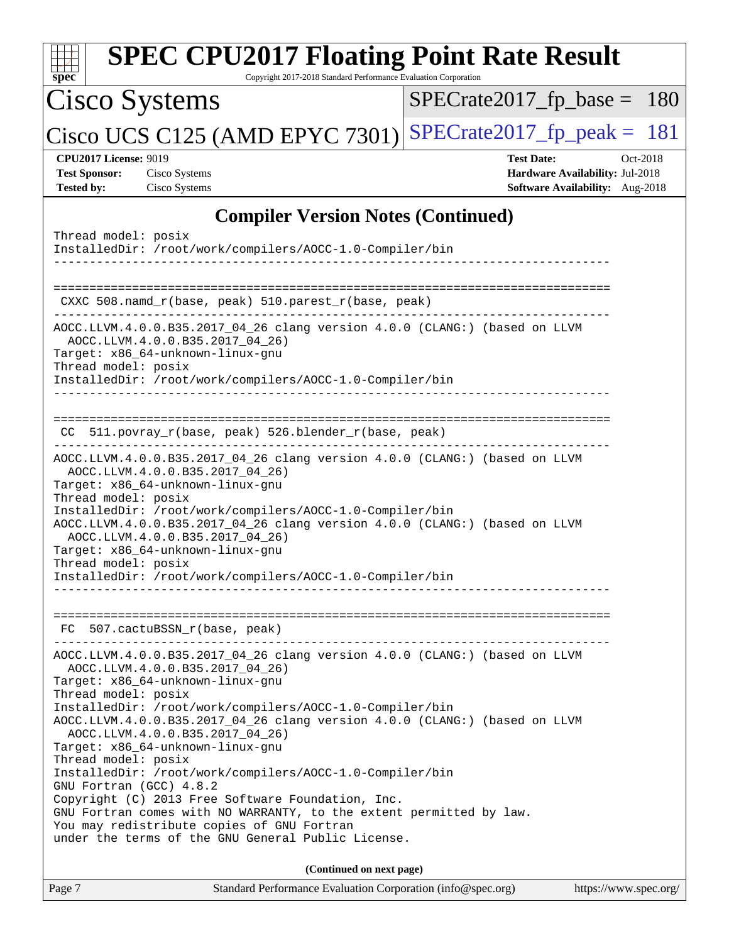| <b>SPEC CPU2017 Floating Point Rate Result</b><br>Copyright 2017-2018 Standard Performance Evaluation Corporation<br>$spec^*$                                                                                                                                                                                                                                                                                                                                                |                                                                                                            |
|------------------------------------------------------------------------------------------------------------------------------------------------------------------------------------------------------------------------------------------------------------------------------------------------------------------------------------------------------------------------------------------------------------------------------------------------------------------------------|------------------------------------------------------------------------------------------------------------|
| Cisco Systems                                                                                                                                                                                                                                                                                                                                                                                                                                                                | $SPECrate2017_fp\_base = 180$                                                                              |
| Cisco UCS C125 (AMD EPYC 7301)                                                                                                                                                                                                                                                                                                                                                                                                                                               | $SPECrate2017_fp\_peak = 181$                                                                              |
| <b>CPU2017 License: 9019</b><br><b>Test Sponsor:</b><br>Cisco Systems<br><b>Tested by:</b><br>Cisco Systems                                                                                                                                                                                                                                                                                                                                                                  | <b>Test Date:</b><br>Oct-2018<br>Hardware Availability: Jul-2018<br><b>Software Availability:</b> Aug-2018 |
| <b>Compiler Version Notes (Continued)</b>                                                                                                                                                                                                                                                                                                                                                                                                                                    |                                                                                                            |
| Thread model: posix<br>InstalledDir: /root/work/compilers/AOCC-1.0-Compiler/bin                                                                                                                                                                                                                                                                                                                                                                                              |                                                                                                            |
| CXXC 508.namd_r(base, peak) 510.parest_r(base, peak)                                                                                                                                                                                                                                                                                                                                                                                                                         |                                                                                                            |
| AOCC.LLVM.4.0.0.B35.2017_04_26 clang version 4.0.0 (CLANG:) (based on LLVM<br>AOCC.LLVM.4.0.0.B35.2017 04 26)<br>Target: x86_64-unknown-linux-gnu<br>Thread model: posix<br>InstalledDir: /root/work/compilers/AOCC-1.0-Compiler/bin                                                                                                                                                                                                                                         |                                                                                                            |
| 511.povray_r(base, peak) 526.blender_r(base, peak)<br>CC.                                                                                                                                                                                                                                                                                                                                                                                                                    |                                                                                                            |
| AOCC.LLVM.4.0.0.B35.2017_04_26 clang version 4.0.0 (CLANG:) (based on LLVM<br>AOCC.LLVM.4.0.0.B35.2017_04_26)<br>Target: x86_64-unknown-linux-gnu<br>Thread model: posix<br>InstalledDir: /root/work/compilers/AOCC-1.0-Compiler/bin<br>AOCC.LLVM.4.0.0.B35.2017_04_26 clang version 4.0.0 (CLANG:) (based on LLVM<br>AOCC.LLVM.4.0.0.B35.2017 04 26)<br>Target: x86_64-unknown-linux-gnu<br>Thread model: posix<br>InstalledDir: /root/work/compilers/AOCC-1.0-Compiler/bin |                                                                                                            |
|                                                                                                                                                                                                                                                                                                                                                                                                                                                                              |                                                                                                            |
| FC 507.cactuBSSN_r(base, peak)                                                                                                                                                                                                                                                                                                                                                                                                                                               |                                                                                                            |
| AOCC.LLVM.4.0.0.B35.2017_04_26 clang version 4.0.0 (CLANG:) (based on LLVM<br>AOCC.LLVM.4.0.0.B35.2017 04 26)<br>Target: x86_64-unknown-linux-gnu<br>Thread model: posix<br>InstalledDir: /root/work/compilers/AOCC-1.0-Compiler/bin<br>AOCC.LLVM.4.0.0.B35.2017_04_26 clang version 4.0.0 (CLANG:) (based on LLVM<br>AOCC.LLVM.4.0.0.B35.2017_04_26)                                                                                                                        |                                                                                                            |
| Target: x86_64-unknown-linux-gnu<br>Thread model: posix<br>InstalledDir: /root/work/compilers/AOCC-1.0-Compiler/bin<br>GNU Fortran (GCC) 4.8.2<br>Copyright (C) 2013 Free Software Foundation, Inc.<br>GNU Fortran comes with NO WARRANTY, to the extent permitted by law.<br>You may redistribute copies of GNU Fortran<br>under the terms of the GNU General Public License.                                                                                               |                                                                                                            |
| (Continued on next page)                                                                                                                                                                                                                                                                                                                                                                                                                                                     |                                                                                                            |
| Standard Performance Evaluation Corporation (info@spec.org)<br>Page 7                                                                                                                                                                                                                                                                                                                                                                                                        | https://www.spec.org/                                                                                      |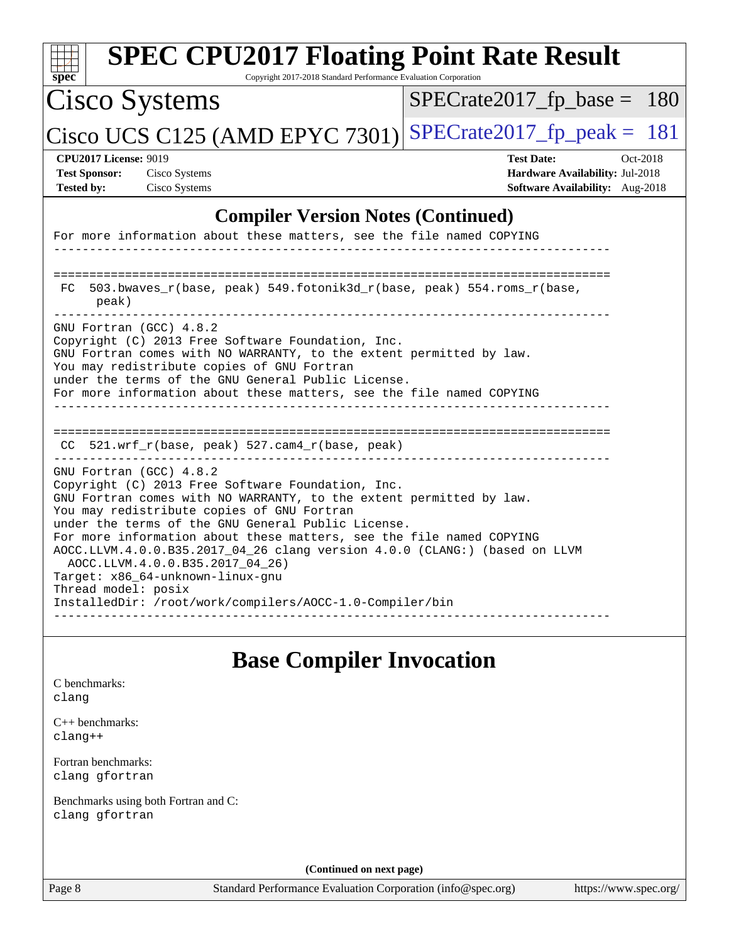| <b>SPEC CPU2017 Floating Point Rate Result</b><br>Copyright 2017-2018 Standard Performance Evaluation Corporation<br>$spec^*$                                                                                                                                                                                                                                                                                                                                    |                                                                                                     |
|------------------------------------------------------------------------------------------------------------------------------------------------------------------------------------------------------------------------------------------------------------------------------------------------------------------------------------------------------------------------------------------------------------------------------------------------------------------|-----------------------------------------------------------------------------------------------------|
| Cisco Systems                                                                                                                                                                                                                                                                                                                                                                                                                                                    | $SPECrate2017_fp\_base = 180$                                                                       |
| Cisco UCS C125 (AMD EPYC 7301)                                                                                                                                                                                                                                                                                                                                                                                                                                   | $SPECTate2017$ _fp_peak = 181                                                                       |
| <b>CPU2017 License: 9019</b><br><b>Test Sponsor:</b><br>Cisco Systems<br>Cisco Systems<br><b>Tested by:</b>                                                                                                                                                                                                                                                                                                                                                      | <b>Test Date:</b><br>Oct-2018<br>Hardware Availability: Jul-2018<br>Software Availability: Aug-2018 |
| <b>Compiler Version Notes (Continued)</b>                                                                                                                                                                                                                                                                                                                                                                                                                        |                                                                                                     |
| For more information about these matters, see the file named COPYING                                                                                                                                                                                                                                                                                                                                                                                             |                                                                                                     |
| 503.bwaves_r(base, peak) 549.fotonik3d_r(base, peak) 554.roms_r(base,<br>FC.<br>peak)<br>GNU Fortran (GCC) 4.8.2<br>Copyright (C) 2013 Free Software Foundation, Inc.<br>GNU Fortran comes with NO WARRANTY, to the extent permitted by law.<br>You may redistribute copies of GNU Fortran<br>under the terms of the GNU General Public License.<br>For more information about these matters, see the file named COPYING                                         |                                                                                                     |
| CC 521.wrf_r(base, peak) 527.cam4_r(base, peak)<br>GNU Fortran (GCC) 4.8.2<br>Copyright (C) 2013 Free Software Foundation, Inc.<br>GNU Fortran comes with NO WARRANTY, to the extent permitted by law.<br>You may redistribute copies of GNU Fortran<br>under the terms of the GNU General Public License.<br>For more information about these matters, see the file named COPYING<br>AOCC.LLVM.4.0.0.B35.2017_04_26 clang version 4.0.0 (CLANG:) (based on LLVM |                                                                                                     |
| AOCC.LLVM.4.0.0.B35.2017_04_26)<br>Target: x86_64-unknown-linux-gnu<br>Thread model: posix<br>InstalledDir: /root/work/compilers/AOCC-1.0-Compiler/bin                                                                                                                                                                                                                                                                                                           |                                                                                                     |
| <b>Base Compiler Invocation</b>                                                                                                                                                                                                                                                                                                                                                                                                                                  |                                                                                                     |
| C benchmarks:<br>clang                                                                                                                                                                                                                                                                                                                                                                                                                                           |                                                                                                     |
| $C_{++}$ benchmarks:<br>clang++                                                                                                                                                                                                                                                                                                                                                                                                                                  |                                                                                                     |
| Fortran benchmarks:<br>clang gfortran                                                                                                                                                                                                                                                                                                                                                                                                                            |                                                                                                     |
| Benchmarks using both Fortran and C:<br>clang gfortran                                                                                                                                                                                                                                                                                                                                                                                                           |                                                                                                     |
| (Continued on next page)                                                                                                                                                                                                                                                                                                                                                                                                                                         |                                                                                                     |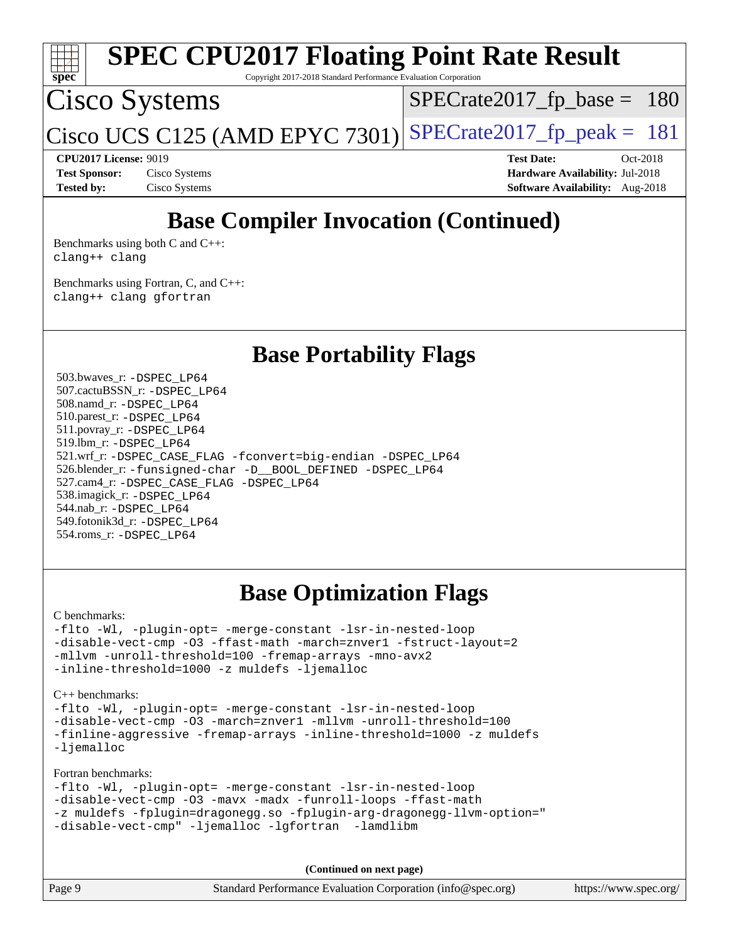

## **[Base Compiler Invocation \(Continued\)](http://www.spec.org/auto/cpu2017/Docs/result-fields.html#BaseCompilerInvocation)**

[Benchmarks using both C and C++](http://www.spec.org/auto/cpu2017/Docs/result-fields.html#BenchmarksusingbothCandCXX): [clang++](http://www.spec.org/cpu2017/results/res2018q4/cpu2017-20181016-09249.flags.html#user_CC_CXXbase_Fclang3_57a48582e5be507d19b2527b3e7d4f85d9b8669ffc9a8a0dbb9bcf949a918a58bbab411e0c4d14a3922022a3e425a90db94042683824c1806feff4324ca1000d) [clang](http://www.spec.org/cpu2017/results/res2018q4/cpu2017-20181016-09249.flags.html#user_CC_CXXbase_Fclang3)

[Benchmarks using Fortran, C, and C++:](http://www.spec.org/auto/cpu2017/Docs/result-fields.html#BenchmarksusingFortranCandCXX) [clang++](http://www.spec.org/cpu2017/results/res2018q4/cpu2017-20181016-09249.flags.html#user_CC_CXX_FCbase_Fclang3_57a48582e5be507d19b2527b3e7d4f85d9b8669ffc9a8a0dbb9bcf949a918a58bbab411e0c4d14a3922022a3e425a90db94042683824c1806feff4324ca1000d) [clang](http://www.spec.org/cpu2017/results/res2018q4/cpu2017-20181016-09249.flags.html#user_CC_CXX_FCbase_Fclang3) [gfortran](http://www.spec.org/cpu2017/results/res2018q4/cpu2017-20181016-09249.flags.html#user_CC_CXX_FCbase_Fgfortran_128c91a56d61ddb07404721e65b8f9498c31a443dacbd3b7f212891090eca86e2d099b520f75b99e9e8ac4fdec01f4d15f0b65e47123ec4c42b0759045731a1f)

**[Base Portability Flags](http://www.spec.org/auto/cpu2017/Docs/result-fields.html#BasePortabilityFlags)**

 503.bwaves\_r: [-DSPEC\\_LP64](http://www.spec.org/cpu2017/results/res2018q4/cpu2017-20181016-09249.flags.html#suite_baseEXTRA_PORTABILITY503_bwaves_r_DSPEC_LP64) 507.cactuBSSN\_r: [-DSPEC\\_LP64](http://www.spec.org/cpu2017/results/res2018q4/cpu2017-20181016-09249.flags.html#suite_baseEXTRA_PORTABILITY507_cactuBSSN_r_DSPEC_LP64) 508.namd\_r: [-DSPEC\\_LP64](http://www.spec.org/cpu2017/results/res2018q4/cpu2017-20181016-09249.flags.html#suite_baseEXTRA_PORTABILITY508_namd_r_DSPEC_LP64) 510.parest\_r: [-DSPEC\\_LP64](http://www.spec.org/cpu2017/results/res2018q4/cpu2017-20181016-09249.flags.html#suite_baseEXTRA_PORTABILITY510_parest_r_DSPEC_LP64) 511.povray\_r: [-DSPEC\\_LP64](http://www.spec.org/cpu2017/results/res2018q4/cpu2017-20181016-09249.flags.html#suite_baseEXTRA_PORTABILITY511_povray_r_DSPEC_LP64) 519.lbm\_r: [-DSPEC\\_LP64](http://www.spec.org/cpu2017/results/res2018q4/cpu2017-20181016-09249.flags.html#suite_baseEXTRA_PORTABILITY519_lbm_r_DSPEC_LP64) 521.wrf\_r: [-DSPEC\\_CASE\\_FLAG](http://www.spec.org/cpu2017/results/res2018q4/cpu2017-20181016-09249.flags.html#b521.wrf_r_baseCPORTABILITY_DSPEC_CASE_FLAG) [-fconvert=big-endian](http://www.spec.org/cpu2017/results/res2018q4/cpu2017-20181016-09249.flags.html#user_baseFPORTABILITY521_wrf_r_F-fconvert) [-DSPEC\\_LP64](http://www.spec.org/cpu2017/results/res2018q4/cpu2017-20181016-09249.flags.html#suite_baseEXTRA_PORTABILITY521_wrf_r_DSPEC_LP64) 526.blender\_r: [-funsigned-char](http://www.spec.org/cpu2017/results/res2018q4/cpu2017-20181016-09249.flags.html#user_baseCPORTABILITY526_blender_r_F-funsigned-char) [-D\\_\\_BOOL\\_DEFINED](http://www.spec.org/cpu2017/results/res2018q4/cpu2017-20181016-09249.flags.html#b526.blender_r_baseCXXPORTABILITY_D__BOOL_DEFINED) [-DSPEC\\_LP64](http://www.spec.org/cpu2017/results/res2018q4/cpu2017-20181016-09249.flags.html#suite_baseEXTRA_PORTABILITY526_blender_r_DSPEC_LP64) 527.cam4\_r: [-DSPEC\\_CASE\\_FLAG](http://www.spec.org/cpu2017/results/res2018q4/cpu2017-20181016-09249.flags.html#b527.cam4_r_basePORTABILITY_DSPEC_CASE_FLAG) [-DSPEC\\_LP64](http://www.spec.org/cpu2017/results/res2018q4/cpu2017-20181016-09249.flags.html#suite_baseEXTRA_PORTABILITY527_cam4_r_DSPEC_LP64) 538.imagick\_r: [-DSPEC\\_LP64](http://www.spec.org/cpu2017/results/res2018q4/cpu2017-20181016-09249.flags.html#suite_baseEXTRA_PORTABILITY538_imagick_r_DSPEC_LP64) 544.nab\_r: [-DSPEC\\_LP64](http://www.spec.org/cpu2017/results/res2018q4/cpu2017-20181016-09249.flags.html#suite_baseEXTRA_PORTABILITY544_nab_r_DSPEC_LP64) 549.fotonik3d\_r: [-DSPEC\\_LP64](http://www.spec.org/cpu2017/results/res2018q4/cpu2017-20181016-09249.flags.html#suite_baseEXTRA_PORTABILITY549_fotonik3d_r_DSPEC_LP64) 554.roms\_r: [-DSPEC\\_LP64](http://www.spec.org/cpu2017/results/res2018q4/cpu2017-20181016-09249.flags.html#suite_baseEXTRA_PORTABILITY554_roms_r_DSPEC_LP64)

## **[Base Optimization Flags](http://www.spec.org/auto/cpu2017/Docs/result-fields.html#BaseOptimizationFlags)**

[C benchmarks](http://www.spec.org/auto/cpu2017/Docs/result-fields.html#Cbenchmarks):

[-flto](http://www.spec.org/cpu2017/results/res2018q4/cpu2017-20181016-09249.flags.html#user_CCbase_F-flto) [-Wl,](http://www.spec.org/cpu2017/results/res2018q4/cpu2017-20181016-09249.flags.html#user_CCbase_F-Wl_5f669859b7c1a0295edc4f5fd536c381023f180a987810cb5cfa1d9467a27ac14b13770b9732d7618b24fc778f3dfdf68b65521d505fc870281e0142944925a0) [-plugin-opt=](http://www.spec.org/cpu2017/results/res2018q4/cpu2017-20181016-09249.flags.html#user_CCbase_F-plugin-opt_772899571bb6157e4b8feeb3276e6c06dec41c1bbb0aa637c8700742a4baaf7e7b56061e32ae2365a76a44d8c448177ca3ee066cdf7537598ff772fc461942c2) [-merge-constant](http://www.spec.org/cpu2017/results/res2018q4/cpu2017-20181016-09249.flags.html#user_CCbase_F-merge-constant_bdb3ec75d21d5cf0ab1961ebe7105d0ea3b0c6d89a312cf7efc1d107e6c56c92c36b5d564d0702d1e2526f6b92f188b4413eb5a54b1f9e4a41f5a9bfc0233b92) [-lsr-in-nested-loop](http://www.spec.org/cpu2017/results/res2018q4/cpu2017-20181016-09249.flags.html#user_CCbase_F-lsr-in-nested-loop) [-disable-vect-cmp](http://www.spec.org/cpu2017/results/res2018q4/cpu2017-20181016-09249.flags.html#user_CCbase_F-disable-vect-cmp) [-O3](http://www.spec.org/cpu2017/results/res2018q4/cpu2017-20181016-09249.flags.html#user_CCbase_F-O3) [-ffast-math](http://www.spec.org/cpu2017/results/res2018q4/cpu2017-20181016-09249.flags.html#user_CCbase_F-aocc-ffast-math_78dd175de6534c2005829757b9b0f2878e57b067cce6f7c443b2250ac68890960e2e1b320ca04b81ff7c62c6f87870ed05f06baf7875eea2990d38e3b73c71f1) [-march=znver1](http://www.spec.org/cpu2017/results/res2018q4/cpu2017-20181016-09249.flags.html#user_CCbase_F-march) [-fstruct-layout=2](http://www.spec.org/cpu2017/results/res2018q4/cpu2017-20181016-09249.flags.html#user_CCbase_F-fstruct-layout_a05ec02e17cdf7fe0c3950a6b005251b2b1e5e67af2b5298cf72714730c3d59ba290e75546b10aa22dac074c15ceaca36ae22c62cb51bcb2fbdc9dc4e7e222c4) [-mllvm](http://www.spec.org/cpu2017/results/res2018q4/cpu2017-20181016-09249.flags.html#user_CCbase_F-mllvm_76e3f86ef8d8cc4dfa84cec42d531db351fee284f72cd5d644b5bdbef9c2604296512be6a431d9e19d0523544399ea9dd745afc2fff755a0705d428460dc659e) [-unroll-threshold=100](http://www.spec.org/cpu2017/results/res2018q4/cpu2017-20181016-09249.flags.html#user_CCbase_F-unroll-threshold) [-fremap-arrays](http://www.spec.org/cpu2017/results/res2018q4/cpu2017-20181016-09249.flags.html#user_CCbase_F-fremap-arrays) [-mno-avx2](http://www.spec.org/cpu2017/results/res2018q4/cpu2017-20181016-09249.flags.html#user_CCbase_F-mno-avx2) [-inline-threshold=1000](http://www.spec.org/cpu2017/results/res2018q4/cpu2017-20181016-09249.flags.html#user_CCbase_F-inline-threshold_1daf3e0321a7a0c1ea19068c818f3f119b1e5dfc986cc791557791f4b93536c1546ba0c8585f62303269f504aa232e0ca278e8489928152e32e0752215741730) [-z muldefs](http://www.spec.org/cpu2017/results/res2018q4/cpu2017-20181016-09249.flags.html#user_CCbase_F-z) [-ljemalloc](http://www.spec.org/cpu2017/results/res2018q4/cpu2017-20181016-09249.flags.html#user_CCbase_F-ljemalloc)

[C++ benchmarks:](http://www.spec.org/auto/cpu2017/Docs/result-fields.html#CXXbenchmarks)

[-flto](http://www.spec.org/cpu2017/results/res2018q4/cpu2017-20181016-09249.flags.html#user_CXXbase_F-flto) [-Wl,](http://www.spec.org/cpu2017/results/res2018q4/cpu2017-20181016-09249.flags.html#user_CXXbase_F-Wl_5f669859b7c1a0295edc4f5fd536c381023f180a987810cb5cfa1d9467a27ac14b13770b9732d7618b24fc778f3dfdf68b65521d505fc870281e0142944925a0) [-plugin-opt=](http://www.spec.org/cpu2017/results/res2018q4/cpu2017-20181016-09249.flags.html#user_CXXbase_F-plugin-opt_772899571bb6157e4b8feeb3276e6c06dec41c1bbb0aa637c8700742a4baaf7e7b56061e32ae2365a76a44d8c448177ca3ee066cdf7537598ff772fc461942c2) [-merge-constant](http://www.spec.org/cpu2017/results/res2018q4/cpu2017-20181016-09249.flags.html#user_CXXbase_F-merge-constant_bdb3ec75d21d5cf0ab1961ebe7105d0ea3b0c6d89a312cf7efc1d107e6c56c92c36b5d564d0702d1e2526f6b92f188b4413eb5a54b1f9e4a41f5a9bfc0233b92) [-lsr-in-nested-loop](http://www.spec.org/cpu2017/results/res2018q4/cpu2017-20181016-09249.flags.html#user_CXXbase_F-lsr-in-nested-loop) [-disable-vect-cmp](http://www.spec.org/cpu2017/results/res2018q4/cpu2017-20181016-09249.flags.html#user_CXXbase_F-disable-vect-cmp) [-O3](http://www.spec.org/cpu2017/results/res2018q4/cpu2017-20181016-09249.flags.html#user_CXXbase_F-O3) [-march=znver1](http://www.spec.org/cpu2017/results/res2018q4/cpu2017-20181016-09249.flags.html#user_CXXbase_F-march) [-mllvm](http://www.spec.org/cpu2017/results/res2018q4/cpu2017-20181016-09249.flags.html#user_CXXbase_F-mllvm_76e3f86ef8d8cc4dfa84cec42d531db351fee284f72cd5d644b5bdbef9c2604296512be6a431d9e19d0523544399ea9dd745afc2fff755a0705d428460dc659e) [-unroll-threshold=100](http://www.spec.org/cpu2017/results/res2018q4/cpu2017-20181016-09249.flags.html#user_CXXbase_F-unroll-threshold) [-finline-aggressive](http://www.spec.org/cpu2017/results/res2018q4/cpu2017-20181016-09249.flags.html#user_CXXbase_F-finline-aggressive) [-fremap-arrays](http://www.spec.org/cpu2017/results/res2018q4/cpu2017-20181016-09249.flags.html#user_CXXbase_F-fremap-arrays) [-inline-threshold=1000](http://www.spec.org/cpu2017/results/res2018q4/cpu2017-20181016-09249.flags.html#user_CXXbase_F-inline-threshold_1daf3e0321a7a0c1ea19068c818f3f119b1e5dfc986cc791557791f4b93536c1546ba0c8585f62303269f504aa232e0ca278e8489928152e32e0752215741730) [-z muldefs](http://www.spec.org/cpu2017/results/res2018q4/cpu2017-20181016-09249.flags.html#user_CXXbase_F-z) [-ljemalloc](http://www.spec.org/cpu2017/results/res2018q4/cpu2017-20181016-09249.flags.html#user_CXXbase_F-ljemalloc)

[Fortran benchmarks](http://www.spec.org/auto/cpu2017/Docs/result-fields.html#Fortranbenchmarks):

```
-flto -Wl, -plugin-opt= -merge-constant -lsr-in-nested-loop
-disable-vect-cmp -O3 -mavx -madx -funroll-loops -ffast-math
-z muldefs -fplugin=dragonegg.so -fplugin-arg-dragonegg-llvm-option="
-disable-vect-cmp" -ljemalloc -lgfortran -lamdlibm
```
**(Continued on next page)**

| Page 9 | Standard Performance Evaluation Corporation (info@spec.org) | https://www.spec.org/ |
|--------|-------------------------------------------------------------|-----------------------|
|--------|-------------------------------------------------------------|-----------------------|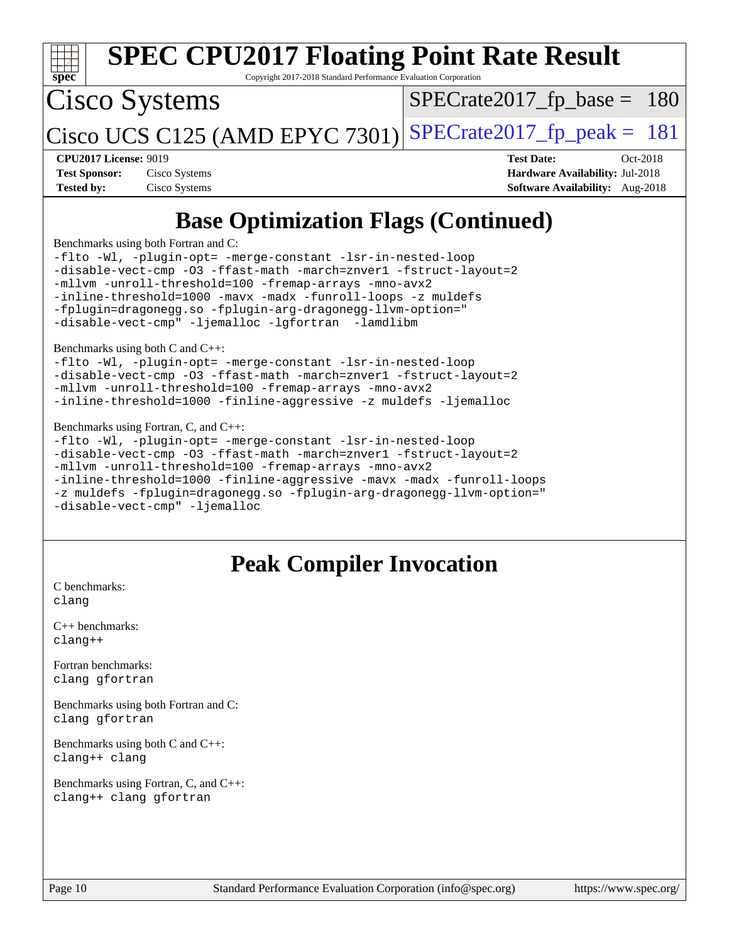| <b>SPEC CPU2017 Floating Point Rate Result</b><br>Copyright 2017-2018 Standard Performance Evaluation Corporation<br>$spec^*$                                                                                                                                                                                                                                                                                                                                                                                                                                                                                                                                                                                                    |                                                                                                            |  |  |  |  |
|----------------------------------------------------------------------------------------------------------------------------------------------------------------------------------------------------------------------------------------------------------------------------------------------------------------------------------------------------------------------------------------------------------------------------------------------------------------------------------------------------------------------------------------------------------------------------------------------------------------------------------------------------------------------------------------------------------------------------------|------------------------------------------------------------------------------------------------------------|--|--|--|--|
| Cisco Systems<br>$SPECrate2017_fp\_base = 180$                                                                                                                                                                                                                                                                                                                                                                                                                                                                                                                                                                                                                                                                                   |                                                                                                            |  |  |  |  |
| $SPECrate2017_fp\_peak = 181$<br>Cisco UCS C125 (AMD EPYC 7301)                                                                                                                                                                                                                                                                                                                                                                                                                                                                                                                                                                                                                                                                  |                                                                                                            |  |  |  |  |
| <b>CPU2017 License: 9019</b><br>Cisco Systems<br><b>Test Sponsor:</b><br><b>Tested by:</b><br>Cisco Systems                                                                                                                                                                                                                                                                                                                                                                                                                                                                                                                                                                                                                      | <b>Test Date:</b><br>Oct-2018<br>Hardware Availability: Jul-2018<br><b>Software Availability:</b> Aug-2018 |  |  |  |  |
| <b>Base Optimization Flags (Continued)</b>                                                                                                                                                                                                                                                                                                                                                                                                                                                                                                                                                                                                                                                                                       |                                                                                                            |  |  |  |  |
| Benchmarks using both Fortran and C:<br>-flto -Wl, -plugin-opt= -merge-constant -lsr-in-nested-loop<br>-disable-vect-cmp -03 -ffast-math -march=znver1 -fstruct-layout=2<br>-mllvm -unroll-threshold=100 -fremap-arrays -mno-avx2<br>-inline-threshold=1000 -mavx -madx -funroll-loops -z muldefs<br>-fplugin=dragonegg.so -fplugin-arg-dragonegg-llvm-option="<br>-disable-vect-cmp" -ljemalloc -lgfortran -lamdlibm<br>Benchmarks using both C and $C_{++}$ :<br>-flto -Wl, -plugin-opt= -merge-constant -lsr-in-nested-loop<br>-disable-vect-cmp -03 -ffast-math -march=znver1 -fstruct-layout=2<br>-mllvm -unroll-threshold=100 -fremap-arrays -mno-avx2<br>-inline-threshold=1000 -finline-aggressive -z muldefs -ljemalloc |                                                                                                            |  |  |  |  |
| Benchmarks using Fortran, C, and C++:<br>-flto -Wl, -plugin-opt= -merge-constant -lsr-in-nested-loop<br>-disable-vect-cmp -03 -ffast-math -march=znver1 -fstruct-layout=2<br>-mllvm -unroll-threshold=100 -fremap-arrays -mno-avx2<br>-inline-threshold=1000 -finline-aggressive -mavx -madx -funroll-loops<br>-z muldefs -fplugin=dragonegg.so -fplugin-arg-dragonegg-llvm-option="<br>-disable-vect-cmp" -ljemalloc                                                                                                                                                                                                                                                                                                            |                                                                                                            |  |  |  |  |

## **[Peak Compiler Invocation](http://www.spec.org/auto/cpu2017/Docs/result-fields.html#PeakCompilerInvocation)**

[C benchmarks](http://www.spec.org/auto/cpu2017/Docs/result-fields.html#Cbenchmarks): [clang](http://www.spec.org/cpu2017/results/res2018q4/cpu2017-20181016-09249.flags.html#user_CCpeak_Fclang3)

[C++ benchmarks:](http://www.spec.org/auto/cpu2017/Docs/result-fields.html#CXXbenchmarks) [clang++](http://www.spec.org/cpu2017/results/res2018q4/cpu2017-20181016-09249.flags.html#user_CXXpeak_Fclang3_57a48582e5be507d19b2527b3e7d4f85d9b8669ffc9a8a0dbb9bcf949a918a58bbab411e0c4d14a3922022a3e425a90db94042683824c1806feff4324ca1000d)

[Fortran benchmarks](http://www.spec.org/auto/cpu2017/Docs/result-fields.html#Fortranbenchmarks): [clang](http://www.spec.org/cpu2017/results/res2018q4/cpu2017-20181016-09249.flags.html#user_FCpeak_Fclang3) [gfortran](http://www.spec.org/cpu2017/results/res2018q4/cpu2017-20181016-09249.flags.html#user_FCpeak_Fgfortran_128c91a56d61ddb07404721e65b8f9498c31a443dacbd3b7f212891090eca86e2d099b520f75b99e9e8ac4fdec01f4d15f0b65e47123ec4c42b0759045731a1f)

[Benchmarks using both Fortran and C](http://www.spec.org/auto/cpu2017/Docs/result-fields.html#BenchmarksusingbothFortranandC): [clang](http://www.spec.org/cpu2017/results/res2018q4/cpu2017-20181016-09249.flags.html#user_CC_FCpeak_Fclang3) [gfortran](http://www.spec.org/cpu2017/results/res2018q4/cpu2017-20181016-09249.flags.html#user_CC_FCpeak_Fgfortran_128c91a56d61ddb07404721e65b8f9498c31a443dacbd3b7f212891090eca86e2d099b520f75b99e9e8ac4fdec01f4d15f0b65e47123ec4c42b0759045731a1f)

[Benchmarks using both C and C++](http://www.spec.org/auto/cpu2017/Docs/result-fields.html#BenchmarksusingbothCandCXX): [clang++](http://www.spec.org/cpu2017/results/res2018q4/cpu2017-20181016-09249.flags.html#user_CC_CXXpeak_Fclang3_57a48582e5be507d19b2527b3e7d4f85d9b8669ffc9a8a0dbb9bcf949a918a58bbab411e0c4d14a3922022a3e425a90db94042683824c1806feff4324ca1000d) [clang](http://www.spec.org/cpu2017/results/res2018q4/cpu2017-20181016-09249.flags.html#user_CC_CXXpeak_Fclang3)

[Benchmarks using Fortran, C, and C++:](http://www.spec.org/auto/cpu2017/Docs/result-fields.html#BenchmarksusingFortranCandCXX) [clang++](http://www.spec.org/cpu2017/results/res2018q4/cpu2017-20181016-09249.flags.html#user_CC_CXX_FCpeak_Fclang3_57a48582e5be507d19b2527b3e7d4f85d9b8669ffc9a8a0dbb9bcf949a918a58bbab411e0c4d14a3922022a3e425a90db94042683824c1806feff4324ca1000d) [clang](http://www.spec.org/cpu2017/results/res2018q4/cpu2017-20181016-09249.flags.html#user_CC_CXX_FCpeak_Fclang3) [gfortran](http://www.spec.org/cpu2017/results/res2018q4/cpu2017-20181016-09249.flags.html#user_CC_CXX_FCpeak_Fgfortran_128c91a56d61ddb07404721e65b8f9498c31a443dacbd3b7f212891090eca86e2d099b520f75b99e9e8ac4fdec01f4d15f0b65e47123ec4c42b0759045731a1f)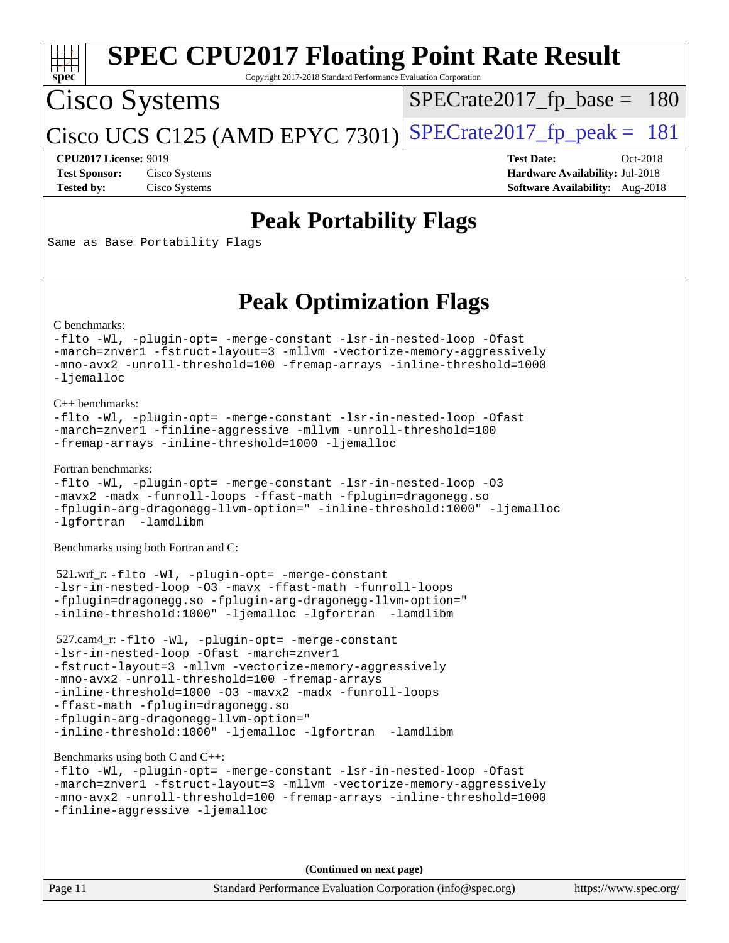